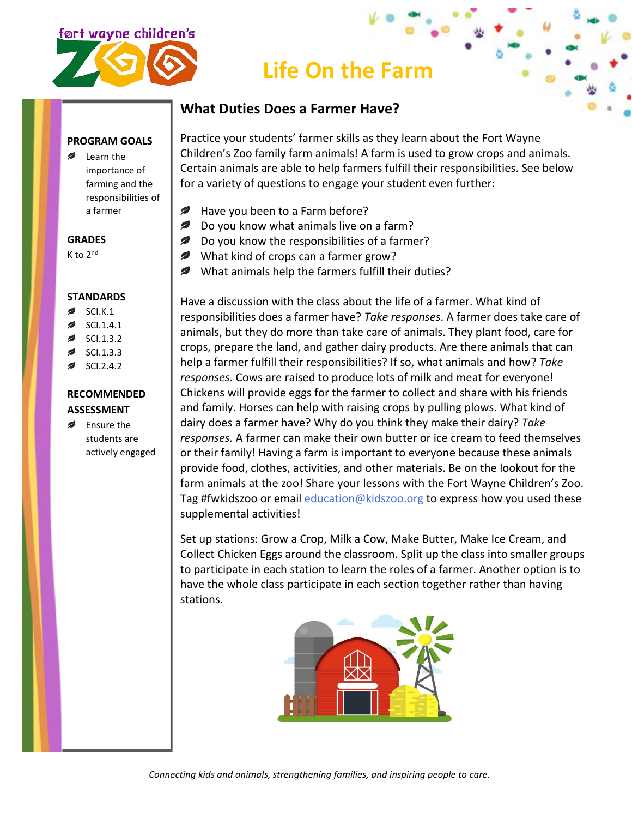

# **Life On the Farm**

## **What Duties Does a Farmer Have?**

**PROGRAM GOALS**

Learn the importance of farming and the responsibilities of a farmer

#### **GRADES**

K to 2nd

#### **STANDARDS**

- SCI.K.1
- SCI.1.4.1
- SCI.1.3.2
- SCI.1.3.3
- SCI.2.4.2

# **RECOMMENDED**

- **ASSESSMENT Ensure the**
- students are actively engaged

Practice your students' farmer skills as they learn about the Fort Wayne Children's Zoo family farm animals! A farm is used to grow crops and animals. Certain animals are able to help farmers fulfill their responsibilities. See below for a variety of questions to engage your student even further:

- ✍ Have you been to a Farm before?
- $\overline{\mathscr{L}}$ Do you know what animals live on a farm?
- $\overline{\phantom{a}}$ Do you know the responsibilities of a farmer?
- What kind of crops can a farmer grow?
- What animals help the farmers fulfill their duties?

Have a discussion with the class about the life of a farmer. What kind of responsibilities does a farmer have? *Take responses*. A farmer does take care of animals, but they do more than take care of animals. They plant food, care for crops, prepare the land, and gather dairy products. Are there animals that can help a farmer fulfill their responsibilities? If so, what animals and how? *Take responses.* Cows are raised to produce lots of milk and meat for everyone! Chickens will provide eggs for the farmer to collect and share with his friends and family. Horses can help with raising crops by pulling plows. What kind of dairy does a farmer have? Why do you think they make their dairy? *Take responses.* A farmer can make their own butter or ice cream to feed themselves or their family! Having a farm is important to everyone because these animals provide food, clothes, activities, and other materials. Be on the lookout for the farm animals at the zoo! Share your lessons with the Fort Wayne Children's Zoo. Tag #fwkidszoo or email *[education@kidszoo.org](mailto:education@kidszoo.org)* to express how you used these supplemental activities!

Set up stations: Grow a Crop, Milk a Cow, Make Butter, Make Ice Cream, and Collect Chicken Eggs around the classroom. Split up the class into smaller groups to participate in each station to learn the roles of a farmer. Another option is to have the whole class participate in each section together rather than having stations.